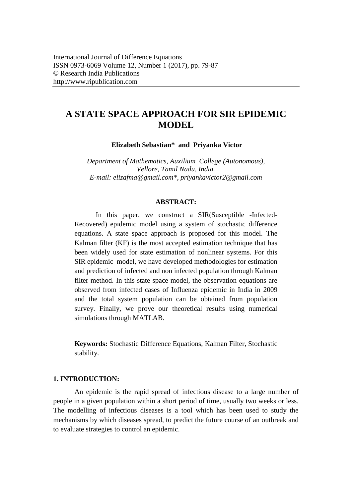# **A STATE SPACE APPROACH FOR SIR EPIDEMIC MODEL**

**Elizabeth Sebastian\* and Priyanka Victor** 

*Department of Mathematics, Auxilium College (Autonomous), Vellore, Tamil Nadu, India. E-mail: [elizafma@gmail.com\\*](mailto:elizafma@gmail.com), [priyankavictor2@gmail.com](mailto:priyankavictor2@gmail.com)*

#### **ABSTRACT:**

In this paper, we construct a SIR(Susceptible -Infected-Recovered) epidemic model using a system of stochastic difference equations. A state space approach is proposed for this model. The Kalman filter (KF) is the most accepted estimation technique that has been widely used for state estimation of nonlinear systems. For this SIR epidemic model, we have developed methodologies for estimation and prediction of infected and non infected population through Kalman filter method. In this state space model, the observation equations are observed from infected cases of Influenza epidemic in India in 2009 and the total system population can be obtained from population survey. Finally, we prove our theoretical results using numerical simulations through MATLAB.

**Keywords:** Stochastic Difference Equations, Kalman Filter, Stochastic stability.

#### **1. INTRODUCTION:**

An epidemic is the rapid spread of [infectious disease](https://en.wikipedia.org/wiki/Infectious_disease) to a large number of people in a given population within a short period of time, usually two weeks or less. The modelling of infectious diseases is a tool which has been used to study the mechanisms by which diseases spread, to predict the future course of an outbreak and to evaluate strategies to control an epidemic.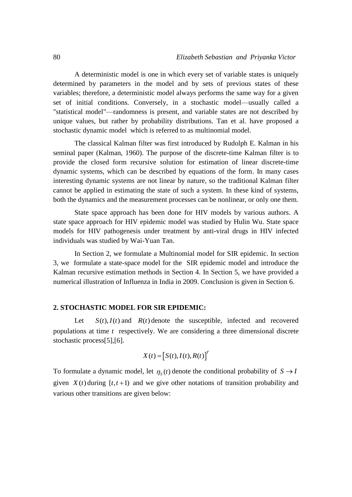A [deterministic](https://en.wikipedia.org/wiki/Deterministic_system) model is one in which every set of variable states is uniquely determined by parameters in the model and by sets of previous states of these variables; therefore, a deterministic model always performs the same way for a given set of initial conditions. Conversely, in a stochastic model—usually called a ["statistical model"](https://en.wikipedia.org/wiki/Statistical_model)—randomness is present, and variable states are not described by unique values, but rather by [probability](https://en.wikipedia.org/wiki/Probability) distributions. Tan et al. have proposed a stochastic dynamic model which is referred to as multinomial model.

The classical Kalman filter was first introduced by Rudolph E. Kalman in his seminal paper (Kalman, 1960). The purpose of the discrete-time Kalman filter is to provide the closed form recursive solution for estimation of linear discrete-time dynamic systems, which can be described by equations of the form. In many cases interesting dynamic systems are not linear by nature, so the traditional Kalman filter cannot be applied in estimating the state of such a system. In these kind of systems, both the dynamics and the measurement processes can be nonlinear, or only one them.

State space approach has been done for HIV models by various authors. A state space approach for HIV epidemic model was studied by Hulin Wu. State space models for HIV pathogenesis under treatment by anti-viral drugs in HIV infected individuals was studied by Wai-Yuan Tan.

In Section 2, we formulate a Multinomial model for SIR epidemic. In section 3, we formulate a state-space model for the SIR epidemic model and introduce the Kalman recursive estimation methods in Section 4. In Section 5, we have provided a numerical illustration of Influenza in India in 2009. Conclusion is given in Section 6.

#### **2. STOCHASTIC MODEL FOR SIR EPIDEMIC:**

Let  $S(t)$ ,  $I(t)$  and  $R(t)$  denote the susceptible, infected and recovered populations at time *t* respectively. We are considering a three dimensional discrete stochastic process[5],[6].

$$
X(t) = [S(t), I(t), R(t)]^{T}
$$

To formulate a dynamic model, let  $\eta_s(t)$  denote the conditional probability of  $S \to I$ given  $X(t)$  during  $[t, t+1)$  and we give other notations of transition probability and various other transitions are given below: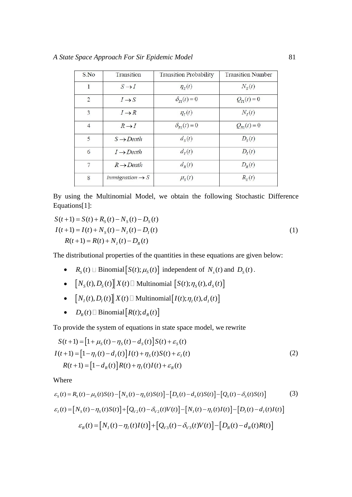| S.No           | Transition                         | <b>Transition Probability</b> | <b>Transition Number</b> |
|----------------|------------------------------------|-------------------------------|--------------------------|
| $\mathbf{1}$   | $S \rightarrow I$                  | $\eta_s(t)$                   | $N_{s}(t)$               |
| $\overline{2}$ | $I \rightarrow S$                  | $\delta_{n}(t)=0$             | $Q_{t_1}(t) = 0$         |
| 3              | $I \rightarrow R$                  | $\eta_I(t)$                   | $N_I(t)$                 |
| $\overline{4}$ | $R \rightarrow I$                  | $\delta_{R_1}(t)=0$           | $Q_{R1}(t)=0$            |
| 5              | $S \rightarrow Death$              | $d_s(t)$                      | $D_{S}(t)$               |
| 6              | $I \rightarrow Death$              | $d_I(t)$                      | $D_{I}(t)$               |
| 7              | $R \rightarrow Death$              | $d_R(t)$                      | $D_R(t)$                 |
| 8              | <i>immigration</i> $\rightarrow$ S | $\mu_{s}(t)$                  | $R_{\rm s}(t)$           |

By using the Multinomial Model, we obtain the following Stochastic Difference Equations[1]:

$$
S(t+1) = S(t) + RS(t) - NS(t) - DS(t)
$$
  
\n
$$
I(t+1) = I(t) + NS(t) - NI(t) - DI(t)
$$
  
\n
$$
R(t+1) = R(t) + NI(t) - DR(t)
$$
\n(1)

The distributional properties of the quantities in these equations are given below:

- $R_s(t) \sqcup Binomial[S(t); \mu_s(t)]$  independent of  $N_s(t)$  and  $D_s(t)$ .
- $[N_S(t), D_S(t)] \propto X(t) \propto M$ ultinomial  $[S(t); \eta_S(t), d_S(t)]$
- $[N_I(t), D_I(t)] \propto X(t) \ln M$ ultinomial $[I(t); \eta_I(t), d_I(t)]$
- $\bullet$   $D_R(t)$   $\Box$  **Binomial**  $[R(t); d_R(t)]$

To provide the system of equations in state space model, we rewrite  
\n
$$
S(t+1) = [1 + \mu_S(t) - \eta_S(t) - d_S(t)]S(t) + \varepsilon_S(t)
$$
\n
$$
I(t+1) = [1 - \eta_I(t) - d_I(t)]I(t) + \eta_S(t)S(t) + \varepsilon_I(t)
$$
\n
$$
R(t+1) = [1 - d_R(t)]R(t) + \eta_I(t)I(t) + \varepsilon_R(t)
$$
\n(2)

Where

$$
K(t+1) - [1 - a_R(t)]K(t) + \eta_1(t)I(t) + \varepsilon_R(t)
$$
  
Where  

$$
\varepsilon_s(t) = R_s(t) - \mu_s(t)S(t) - [N_s(t) - \eta_s(t)S(t)] - [D_s(t) - d_s(t)S(t)] - [Q_s(t) - \delta_s(t)S(t)]
$$
(3)  

$$
\varepsilon_t(t) = [N_s(t) - \eta_s(t)S(t)] + [Q_{V_2}(t) - \delta_{V_2}(t)V(t)] - [N_t(t) - \eta_t(t)I(t)] - [D_t(t) - d_t(t)I(t)]
$$
  

$$
\varepsilon_R(t) = [N_t(t) - \eta_t(t)I(t)] + [Q_{V_3}(t) - \delta_{V_3}(t)V(t)] - [D_R(t) - d_R(t)R(t)]
$$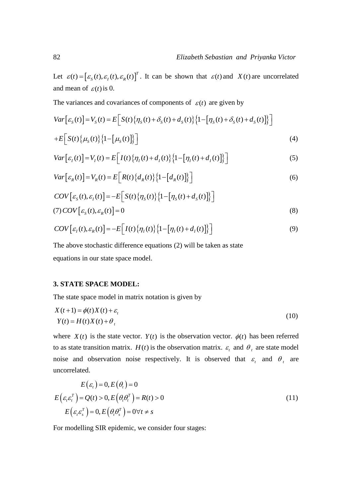Let  $\varepsilon(t) = [\varepsilon_s(t), \varepsilon_t(t), \varepsilon_R(t)]^T$ . It can be shown that  $\varepsilon(t)$  and  $X(t)$  are uncorrelated and mean of  $\varepsilon(t)$  is 0.

The variances and covariances of components of  $\varepsilon(t)$  are given by

The variances and covariances of components of 
$$
\varepsilon(t)
$$
 are given by  
\n
$$
Var[\varepsilon_s(t)] = V_s(t) = E[S(t)\{\eta_s(t) + \delta_s(t) + d_s(t)\}\{1 - [\eta_s(t) + \delta_s(t) + d_s(t)]\}]
$$
\n
$$
+ E[S(t)\{\mu_s(t)\}\{1 - [\mu_s(t)]\}]
$$
\n(4)

$$
+E\left[S(t)\{\mu_{s}(t)\}\left\{1-\left[\mu_{s}(t)\right]\right\}\right]
$$
\n
$$
Var\left[\varepsilon_{I}(t)\right] = V_{I}(t) = E\left[I(t)\{\eta_{I}(t) + d_{I}(t)\}\left\{1-\left[\eta_{I}(t) + d_{I}(t)\right]\right\}\right]
$$
\n(5)

$$
Var\left[\varepsilon_{R}(t)\right] = V_{R}(t) = E\left[R(t)\left\{d_{R}(t)\right\}\left\{1 - \left[d_{R}(t)\right]\right\}\right]
$$
\n
$$
(5)
$$
\n
$$
Var\left[\varepsilon_{R}(t)\right] = V_{R}(t) = E\left[R(t)\left\{d_{R}(t)\right\}\left\{1 - \left[d_{R}(t)\right]\right\}\right]
$$

$$
Var\left[\varepsilon_{R}(t)\right] = V_{R}(t) = E\left[R(t)\left\{d_{R}(t)\right\}\right] - \left[d_{R}(t)\right]\right]
$$
\n
$$
COV\left[\varepsilon_{S}(t), \varepsilon_{I}(t)\right] = -E\left[S(t)\left\{\eta_{S}(t)\right\}\left\{1 - \left[\eta_{S}(t) + d_{S}(t)\right]\right\}\right]
$$
\n
$$
(7) COV\left[\varepsilon_{S}(t), \varepsilon_{R}(t)\right] = 0
$$
\n
$$
(8)
$$

$$
(7) \, COV\left[\varepsilon_{s}(t), \varepsilon_{R}(t)\right] = 0
$$
\n
$$
COV\left[\varepsilon_{I}(t), \varepsilon_{R}(t)\right] = -E\left[I(t)\left\{\eta_{I}(t)\right\}\left\{1 - \left[\eta_{I}(t) + d_{I}(t)\right]\right\}\right]
$$
\n
$$
(9)
$$

The above stochastic difference equations (2) will be taken as state equations in our state space model.

# **3. STATE SPACE MODEL:**

The state space model in matrix notation is given by

$$
X(t+1) = \phi(t)X(t) + \varepsilon_t
$$
  
\n
$$
Y(t) = H(t)X(t) + \theta_t
$$
\n(10)

where  $X(t)$  is the state vector.  $Y(t)$  is the observation vector.  $\phi(t)$  has been referred to as state transition matrix.  $H(t)$  is the observation matrix.  $\varepsilon$ <sub>t</sub> and  $\theta$ <sub>t</sub> are state model noise and observation noise respectively. It is observed that  $\varepsilon$  and  $\theta$  are uncorrelated.

$$
E(\varepsilon_t) = 0, E(\theta_t) = 0
$$
  
\n
$$
E(\varepsilon_t \varepsilon_t^T) = Q(t) > 0, E(\theta_t \theta_t^T) = R(t) > 0
$$
  
\n
$$
E(\varepsilon_t \varepsilon_s^T) = 0, E(\theta_t \theta_s^T) = 0 \forall t \neq s
$$
\n(11)

For modelling SIR epidemic, we consider four stages: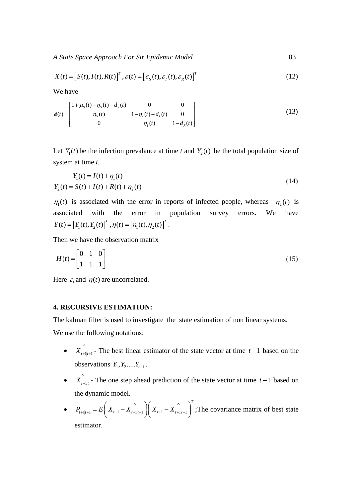*A State Space Approach For Sir Epidemic Model* 83

$$
X(t) = [S(t), I(t), R(t)]^T, \varepsilon(t) = [\varepsilon_S(t), \varepsilon_I(t), \varepsilon_R(t)]^T
$$
\n(12)

We have

We have  
\n
$$
\phi(t) = \begin{bmatrix}\n1 + \mu_s(t) - \eta_s(t) - d_s(t) & 0 & 0 \\
\eta_s(t) & 1 - \eta_l(t) - d_l(t) & 0 \\
0 & \eta_l(t) & 1 - d_R(t)\n\end{bmatrix}
$$
\n(13)

Let  $Y_1(t)$  be the infection prevalance at time *t* and  $Y_2(t)$  be the total population size of system at time *t.*

$$
Y_1(t) = I(t) + \eta_1(t)
$$
  
\n
$$
Y_2(t) = S(t) + I(t) + R(t) + \eta_2(t)
$$
\n(14)

 $\eta_1(t)$  is associated with the error in reports of infected people, whereas  $\eta_2(t)$  is associated with the error in population survey errors. We have associated with the error in<br>  $Y(t) = [Y_1(t), Y_2(t)]^T$ ,  $\eta(t) = [\eta_1(t), \eta_2(t)]^T$ .

Then we have the observation matrix

$$
H(t) = \begin{bmatrix} 0 & 1 & 0 \\ 1 & 1 & 1 \end{bmatrix} \tag{15}
$$

Here  $\varepsilon$ <sub>t</sub> and  $\eta$ (*t*) are uncorrelated.

## **4. RECURSIVE ESTIMATION:**

The kalman filter is used to investigate the state estimation of non linear systems.

We use the following notations:

- $\bullet$   $X_{t+1|t+1}^{\wedge}$  $t_1|_{t+1}$  - The best linear estimator of the state vector at time  $t+1$  based on the observations  $Y_1, Y_2,..., Y_{t+1}$ .
- $\bullet$   $X_{t+1|t}$ <sup> $\wedge$ </sup>  $t_1$  The one step ahead prediction of the state vector at time  $t+1$  based on the dynamic model.
- $P_{t+1|t+1} = E\left(X_{t+1} X_{t+1|t+1}^{\wedge}\right)\left(X_{t+1} X_{t+1|t+1}^{\wedge}\right)^{T}$ e dynamic model.<br>  $A_{t+1|t+1} = E\left(X_{t+1} - X_{t+1|t+1}\right)\left(X_{t+1} - X_{t+1|t+1}\right)^{T}$ ; The ;The covariance matrix of best state estimator.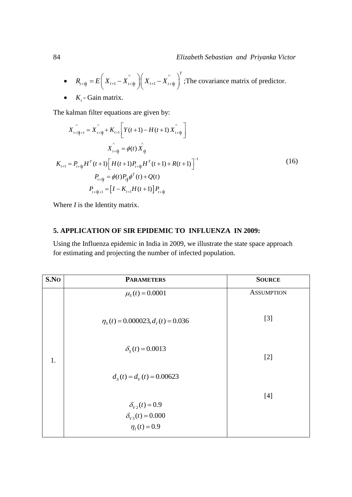• 
$$
R_{t+1|t} = E\left(X_{t+1} - X_{t+1|t} \right) \left(X_{t+1} - X_{t+1|t} \right)^T
$$
; The covariance matrix of predictor.

•  $K_t$ - Gain matrix.

The kalman filter equations are given by:  
\n
$$
X_{t+1|t+1} \hat{X}_{t+1|t} + K_{t+1} \left[ Y(t+1) - H(t+1) X_{t+1|t} \right]
$$
\n
$$
X_{t+1|t} \hat{X}_{t+1|t} = \phi(t) X_{t|t}
$$
\n
$$
K_{t+1} = P_{t+1|t} H^{T}(t+1) \left[ H(t+1) P_{t+1|t} H^{T}(t+1) + R(t+1) \right]^{-1}
$$
\n
$$
P_{t+1|t} = \phi(t) P_{t|t} \phi^{T}(t) + Q(t)
$$
\n
$$
P_{t+1|t+1} = \left[ I - K_{t+1} H(t+1) \right] P_{t+1|t}
$$
\n(16)

Where *I* is the Identity matrix.

# **5. APPLICATION OF SIR EPIDEMIC TO INFLUENZA IN 2009:**

Using the Influenza epidemic in India in 2009, we illustrate the state space approach for estimating and projecting the number of infected population.

| S.No | <b>PARAMETERS</b>                                  | <b>SOURCE</b>     |
|------|----------------------------------------------------|-------------------|
|      | $\mu_{s}(t) = 0.0001$                              | <b>ASSUMPTION</b> |
|      | $\eta_s(t) = 0.000023, d_t(t) = 0.036$             | $[3]$             |
| 1.   | $\delta_{s}(t) = 0.0013$                           | $[2]$             |
|      | $d_s(t) = d_v(t) = 0.00623$                        |                   |
|      | $\delta_{v2}(t) = 0.9$<br>$\delta_{v3}(t) = 0.000$ | $[4]$             |
|      | $\eta_I(t) = 0.9$                                  |                   |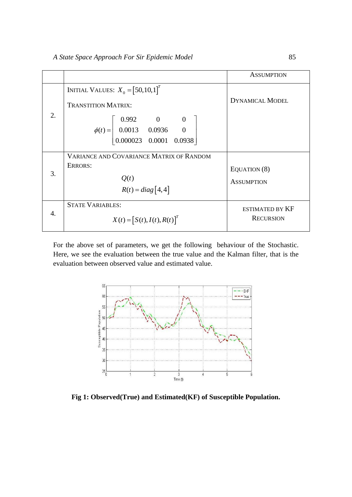|    |                                                                                                              | <b>ASSUMPTION</b>                          |
|----|--------------------------------------------------------------------------------------------------------------|--------------------------------------------|
| 2. | <b>INITIAL VALUES:</b> $X_0 = [50, 10, 1]^T$                                                                 |                                            |
|    | <b>TRANSTITION MATRIX:</b>                                                                                   | <b>DYNAMICAL MODEL</b>                     |
|    | $\phi(t) = \begin{bmatrix} 0.992 & 0 & 0 \\ 0.0013 & 0.0936 & 0 \\ 0.000023 & 0.0001 & 0.0938 \end{bmatrix}$ |                                            |
| 3. | <b>VARIANCE AND COVARIANCE MATRIX OF RANDOM</b><br>ERRORS:<br>Q(t)<br>$R(t) = diag[4, 4]$                    | EQUATION (8)<br><b>ASSUMPTION</b>          |
| 4. | <b>STATE VARIABLES:</b><br>$X(t) = [S(t), I(t), R(t)]^{T}$                                                   | <b>ESTIMATED BY KF</b><br><b>RECURSION</b> |

For the above set of parameters, we get the following behaviour of the Stochastic. Here, we see the evaluation between the true value and the Kalman filter, that is the evaluation between observed value and estimated value.



**Fig 1: Observed(True) and Estimated(KF) of Susceptible Population.**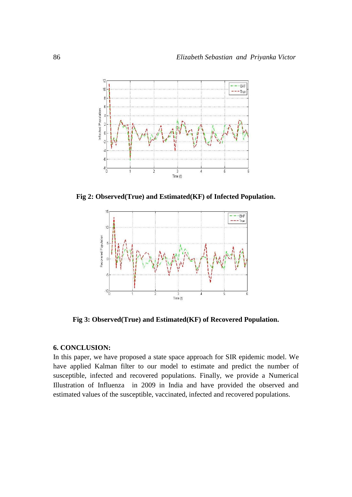

**Fig 2: Observed(True) and Estimated(KF) of Infected Population.**



**Fig 3: Observed(True) and Estimated(KF) of Recovered Population.**

# **6. CONCLUSION:**

In this paper, we have proposed a state space approach for SIR epidemic model. We have applied Kalman filter to our model to estimate and predict the number of susceptible, infected and recovered populations. Finally, we provide a Numerical Illustration of Influenza in 2009 in India and have provided the observed and estimated values of the susceptible, vaccinated, infected and recovered populations.